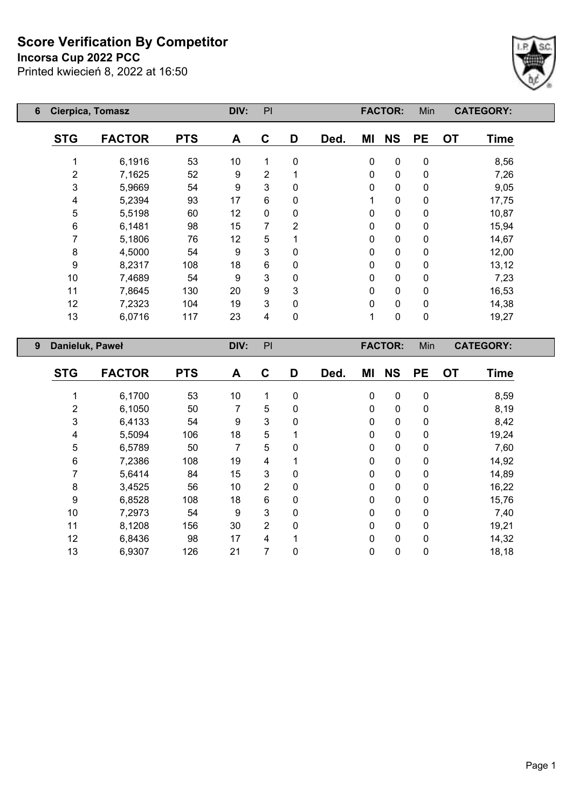**Incorsa Cup 2022 PCC**

Printed kwiecień 8, 2022 at 16:50



| 6                    | Cierpica, Tomasz |               | DIV:       | PI |                |          |      | <b>FACTOR:</b> | Min         |           | <b>CATEGORY:</b> |             |
|----------------------|------------------|---------------|------------|----|----------------|----------|------|----------------|-------------|-----------|------------------|-------------|
|                      | <b>STG</b>       | <b>FACTOR</b> | <b>PTS</b> | A  | C              | D        | Ded. | ΜI             | <b>NS</b>   | <b>PE</b> | <b>OT</b>        | <b>Time</b> |
|                      | 1                | 6,1916        | 53         | 10 |                | 0        |      | 0              | $\pmb{0}$   | 0         |                  | 8,56        |
|                      | $\overline{2}$   | 7,1625        | 52         | 9  | $\overline{2}$ |          |      | 0              | $\mathbf 0$ | 0         |                  | 7,26        |
|                      | $\mathfrak{S}$   | 5,9669        | 54         | 9  | 3              | $\Omega$ |      | 0              | $\mathbf 0$ | 0         |                  | 9,05        |
|                      | 4                | 5,2394        | 93         | 17 | 6              | 0        |      |                | $\mathbf 0$ | 0         |                  | 17,75       |
|                      | 5                | 5,5198        | 60         | 12 | $\mathbf{0}$   | $\Omega$ |      | 0              | $\mathbf 0$ | 0         |                  | 10,87       |
|                      | 6                | 6,1481        | 98         | 15 | 7              | 2        |      | 0              | $\mathbf 0$ | 0         |                  | 15,94       |
|                      | 7                | 5,1806        | 76         | 12 | 5              |          |      | 0              | 0           | 0         |                  | 14,67       |
|                      | 8                | 4,5000        | 54         | 9  | 3              | 0        |      | 0              | $\mathbf 0$ | 0         |                  | 12,00       |
|                      | 9                | 8,2317        | 108        | 18 | 6              | 0        |      | 0              | $\mathbf 0$ | 0         |                  | 13,12       |
|                      | 10               | 7,4689        | 54         | 9  | 3              | 0        |      | 0              | $\mathbf 0$ | 0         |                  | 7,23        |
|                      | 11               | 7,8645        | 130        | 20 | 9              | 3        |      | 0              | $\mathbf 0$ | 0         |                  | 16,53       |
|                      | 12               | 7,2323        | 104        | 19 | 3              | 0        |      | 0              | $\mathbf 0$ | 0         |                  | 14,38       |
|                      | 13               | 6,0716        | 117        | 23 | 4              | 0        |      | 1              | 0           | 0         |                  | 19,27       |
| 9<br>Danieluk, Paweł |                  |               | DIV:       | PI |                |          |      | <b>FACTOR:</b> | Min         |           | <b>CATEGORY:</b> |             |

| <b>STG</b>     | <b>FACTOR</b> | <b>PTS</b> | A  | C              | D | Ded. | ΜI           | <b>NS</b>    | <b>PE</b> | <b>OT</b> | Time  |
|----------------|---------------|------------|----|----------------|---|------|--------------|--------------|-----------|-----------|-------|
|                | 6,1700        | 53         | 10 | 1              | 0 |      | $\mathbf 0$  | $\mathbf 0$  | 0         |           | 8,59  |
| $\overline{2}$ | 6,1050        | 50         | 7  | 5              | 0 |      | $\Omega$     | $\mathbf{0}$ | 0         |           | 8,19  |
| 3              | 6,4133        | 54         | 9  | 3              | 0 |      | $\Omega$     | $\mathbf{0}$ | 0         |           | 8,42  |
| 4              | 5,5094        | 106        | 18 | 5              |   |      | $\mathbf{0}$ | 0            | 0         |           | 19,24 |
| 5              | 6,5789        | 50         | 7  | 5              | 0 |      | $\Omega$     | $\mathbf{0}$ | 0         |           | 7,60  |
| 6              | 7,2386        | 108        | 19 | 4              |   |      | $\mathbf{0}$ | $\mathbf{0}$ | 0         |           | 14,92 |
| 7              | 5,6414        | 84         | 15 | 3              | 0 |      | $\Omega$     | $\mathbf{0}$ | 0         |           | 14,89 |
| 8              | 3,4525        | 56         | 10 | $\overline{2}$ | 0 |      | $\Omega$     | $\mathbf{0}$ | 0         |           | 16,22 |
| 9              | 6,8528        | 108        | 18 | 6              | 0 |      | $\mathbf{0}$ | $\mathbf{0}$ | 0         |           | 15,76 |
| 10             | 7,2973        | 54         | 9  | 3              | 0 |      | $\Omega$     | $\Omega$     | 0         |           | 7,40  |
| 11             | 8,1208        | 156        | 30 | $\overline{2}$ | 0 |      | $\mathbf{0}$ | $\mathbf 0$  | 0         |           | 19,21 |
| 12             | 6,8436        | 98         | 17 | 4              |   |      | $\Omega$     | $\mathbf{0}$ | 0         |           | 14,32 |
| 13             | 6,9307        | 126        | 21 | 7              | 0 |      | 0            | 0            | 0         |           | 18,18 |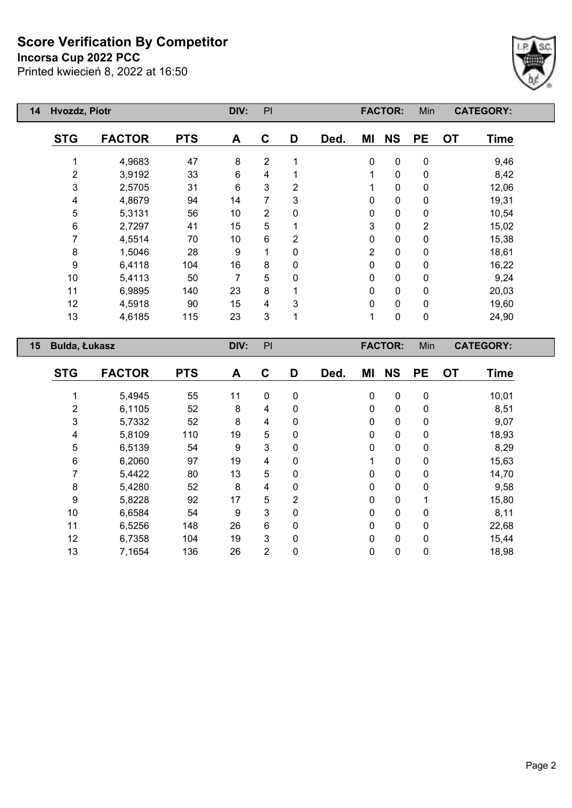**Incorsa Cup 2022 PCC**

Printed kwiecień 8, 2022 at 16:50



| Hvozdz, Piotr<br>14 |                      |               | DIV:       | PI             |                |                |      | <b>FACTOR:</b> | Min            | <b>CATEGORY:</b> |                          |  |
|---------------------|----------------------|---------------|------------|----------------|----------------|----------------|------|----------------|----------------|------------------|--------------------------|--|
|                     | <b>STG</b>           | <b>FACTOR</b> | <b>PTS</b> | A              | $\mathbf{C}$   | D              | Ded. | ΜI             | <b>NS</b>      | <b>PE</b>        | <b>OT</b><br><b>Time</b> |  |
|                     |                      | 4,9683        | 47         | 8              | $\overline{2}$ | 1              |      | $\mathbf 0$    | $\pmb{0}$      | $\pmb{0}$        | 9,46                     |  |
|                     | $\overline{2}$       | 3,9192        | 33         | $6\phantom{1}$ | 4              |                |      | 1              | 0              | 0                | 8,42                     |  |
|                     | 3                    | 2,5705        | 31         | 6              | 3              | 2              |      |                | 0              | 0                | 12,06                    |  |
|                     | 4                    | 4,8679        | 94         | 14             | 7              | 3              |      | 0              | 0              | 0                | 19,31                    |  |
|                     | 5                    | 5,3131        | 56         | 10             | $\overline{2}$ | 0              |      | 0              | 0              | 0                | 10,54                    |  |
|                     | 6                    | 2,7297        | 41         | 15             | 5              |                |      | 3              | $\pmb{0}$      | $\overline{2}$   | 15,02                    |  |
|                     | 7                    | 4,5514        | 70         | 10             | 6              | $\overline{2}$ |      | 0              | 0              | 0                | 15,38                    |  |
|                     | 8                    | 1,5046        | 28         | 9              | 1              | $\mathbf 0$    |      | 2              | $\mathbf 0$    | 0                | 18,61                    |  |
|                     | $\boldsymbol{9}$     | 6,4118        | 104        | 16             | 8              | 0              |      | 0              | 0              | 0                | 16,22                    |  |
|                     | 10                   | 5,4113        | 50         | 7              | 5              | 0              |      | 0              | $\mathbf 0$    | 0                | 9,24                     |  |
|                     | 11                   | 6,9895        | 140        | 23             | 8              |                |      | 0              | 0              | 0                | 20,03                    |  |
|                     | 12                   | 4,5918        | 90         | 15             | 4              | 3              |      | 0              | $\pmb{0}$      | 0                | 19,60                    |  |
|                     | 13                   | 4,6185        | 115        | 23             | 3              | 1              |      | 1              | $\pmb{0}$      | $\pmb{0}$        | 24,90                    |  |
| 15                  | <b>Bulda, Łukasz</b> |               |            | DIV:           | PI             |                |      |                | <b>FACTOR:</b> | Min              | <b>CATEGORY:</b>         |  |
|                     |                      |               |            |                |                |                |      |                |                |                  |                          |  |

| <b>STG</b> | <b>FACTOR</b> | <b>PTS</b> | A  | C              | D           | Ded. | ΜI           | <b>NS</b>    | <b>PE</b> | <b>OT</b> | <b>Time</b> |
|------------|---------------|------------|----|----------------|-------------|------|--------------|--------------|-----------|-----------|-------------|
|            | 5,4945        | 55         | 11 | 0              | 0           |      | $\mathbf{0}$ | 0            | 0         |           | 10,01       |
| 2          | 6,1105        | 52         | 8  | 4              | 0           |      | $\mathbf{0}$ | $\mathbf{0}$ | 0         |           | 8,51        |
| 3          | 5,7332        | 52         | 8  | 4              | 0           |      | $\Omega$     | $\mathbf{0}$ | 0         |           | 9,07        |
| 4          | 5,8109        | 110        | 19 | 5              | 0           |      | $\mathbf{0}$ | $\mathbf{0}$ | 0         |           | 18,93       |
| 5          | 6,5139        | 54         | 9  | 3              | 0           |      | $\Omega$     | $\Omega$     | 0         |           | 8,29        |
| 6          | 6,2060        | 97         | 19 | 4              | 0           |      |              | $\mathbf{0}$ | 0         |           | 15,63       |
| 7          | 5,4422        | 80         | 13 | 5              | 0           |      | $\Omega$     | $\Omega$     | 0         |           | 14,70       |
| 8          | 5,4280        | 52         | 8  | 4              | 0           |      | $\mathbf{0}$ | $\mathbf{0}$ | 0         |           | 9,58        |
| 9          | 5,8228        | 92         | 17 | 5              | 2           |      | $\Omega$     | $\mathbf{0}$ | 4         |           | 15,80       |
| 10         | 6,6584        | 54         | 9  | 3              | 0           |      | $\mathbf{0}$ | $\mathbf{0}$ | 0         |           | 8,11        |
| 11         | 6,5256        | 148        | 26 | 6              | 0           |      | $\Omega$     | $\mathbf{0}$ | 0         |           | 22,68       |
| 12         | 6,7358        | 104        | 19 | 3              | $\mathbf 0$ |      | $\mathbf{0}$ | $\mathbf{0}$ | 0         |           | 15,44       |
| 13         | 7,1654        | 136        | 26 | $\overline{2}$ | 0           |      | 0            | $\mathbf 0$  | 0         |           | 18,98       |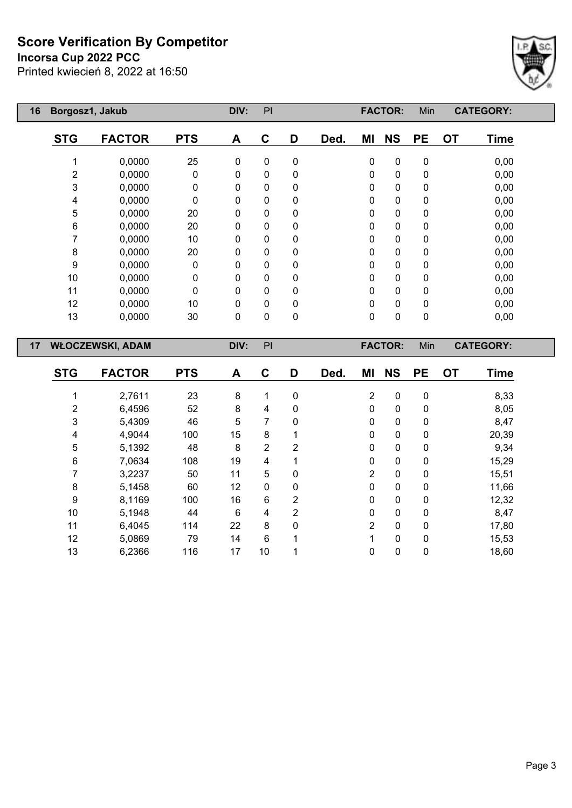#### **Incorsa Cup 2022 PCC**

Printed kwiecień 8, 2022 at 16:50



| 16 | Borgosz1, Jakub |                         | DIV:       | PI   |             |             |      | <b>FACTOR:</b> | Min            |             | <b>CATEGORY:</b> |                  |
|----|-----------------|-------------------------|------------|------|-------------|-------------|------|----------------|----------------|-------------|------------------|------------------|
|    | <b>STG</b>      | <b>FACTOR</b>           | <b>PTS</b> | A    | C           | D           | Ded. | MI             | <b>NS</b>      | <b>PE</b>   | <b>OT</b>        | <b>Time</b>      |
|    | 1               | 0,0000                  | 25         | 0    | $\mathbf 0$ | $\pmb{0}$   |      | $\pmb{0}$      | $\pmb{0}$      | $\pmb{0}$   |                  | 0,00             |
|    | $\mathbf 2$     | 0,0000                  | 0          | 0    | 0           | $\pmb{0}$   |      | $\pmb{0}$      | $\pmb{0}$      | $\mathbf 0$ |                  | 0,00             |
|    | 3               | 0,0000                  | 0          | 0    | 0           | 0           |      | 0              | $\pmb{0}$      | $\pmb{0}$   |                  | 0,00             |
|    | 4               | 0,0000                  | 0          | 0    | 0           | $\mathbf 0$ |      | $\pmb{0}$      | $\pmb{0}$      | $\pmb{0}$   |                  | 0,00             |
|    | 5               | 0,0000                  | 20         | 0    | 0           | $\pmb{0}$   |      | $\mathbf 0$    | $\pmb{0}$      | $\mathbf 0$ |                  | 0,00             |
|    | 6               | 0,0000                  | 20         | 0    | 0           | $\mathbf 0$ |      | $\mathbf 0$    | $\pmb{0}$      | $\mathbf 0$ |                  | 0,00             |
|    | 7               | 0,0000                  | 10         | 0    | 0           | $\mathbf 0$ |      | $\mathbf 0$    | $\pmb{0}$      | $\mathbf 0$ |                  | 0,00             |
|    | 8               | 0,0000                  | 20         | 0    | 0           | $\mathbf 0$ |      | $\mathbf 0$    | $\mathbf 0$    | $\mathbf 0$ |                  | 0,00             |
|    | 9               | 0,0000                  | 0          | 0    | 0           | $\mathbf 0$ |      | 0              | $\pmb{0}$      | $\mathbf 0$ |                  | 0,00             |
|    | 10              | 0,0000                  | 0          | 0    | 0           | $\mathbf 0$ |      | $\mathbf 0$    | $\pmb{0}$      | $\mathbf 0$ |                  | 0,00             |
|    | 11              | 0,0000                  | 0          | 0    | 0           | $\mathbf 0$ |      | $\mathbf 0$    | $\pmb{0}$      | $\mathbf 0$ |                  | 0,00             |
|    | 12              | 0,0000                  | 10         | 0    | 0           | $\mathbf 0$ |      | $\mathbf 0$    | $\pmb{0}$      | $\pmb{0}$   |                  | 0,00             |
|    | 13              | 0,0000                  | 30         | 0    | 0           | $\pmb{0}$   |      | $\mathbf 0$    | $\pmb{0}$      | $\pmb{0}$   |                  | 0,00             |
| 17 |                 | <b>WŁOCZEWSKI, ADAM</b> |            | DIV: | PI          |             |      |                | <b>FACTOR:</b> | Min         |                  | <b>CATEGORY:</b> |
|    | <b>STG</b>      | <b>FACTOR</b>           | <b>PTS</b> | A    | C           | D           | Ded. | MI             | <b>NS</b>      | <b>PE</b>   | <b>OT</b>        | <b>Time</b>      |
|    | 1               | 2,7611                  | 23         | 8    | 1           | $\pmb{0}$   |      | $\overline{2}$ | $\pmb{0}$      | $\pmb{0}$   |                  | 8,33             |
|    | 2               | 6,4596                  | 52         | 8    | 4           | 0           |      | $\mathbf 0$    | $\pmb{0}$      | $\pmb{0}$   |                  | 8,05             |
|    | 3               | 5,4309                  | 46         | 5    | 7           | 0           |      | 0              | 0              | 0           |                  | 8,47             |

 4,9044 100 15 8 1 0 0 0 20,39 5,1392 48 8 2 2 0 0 0 9,34 7,0634 108 19 4 1 0 0 0 15,29 3,2237 50 11 5 0 2 0 0 15,51 5,1458 60 12 0 0 0 0 0 11,66 8,1169 100 16 6 2 0 0 0 12,32 5,1948 44 6 4 2 0 0 0 8,47 6,4045 114 22 8 0 2 0 0 17,80 5,0869 79 14 6 1 1 0 0 15,53 6,2366 116 17 10 1 0 0 0 18,60